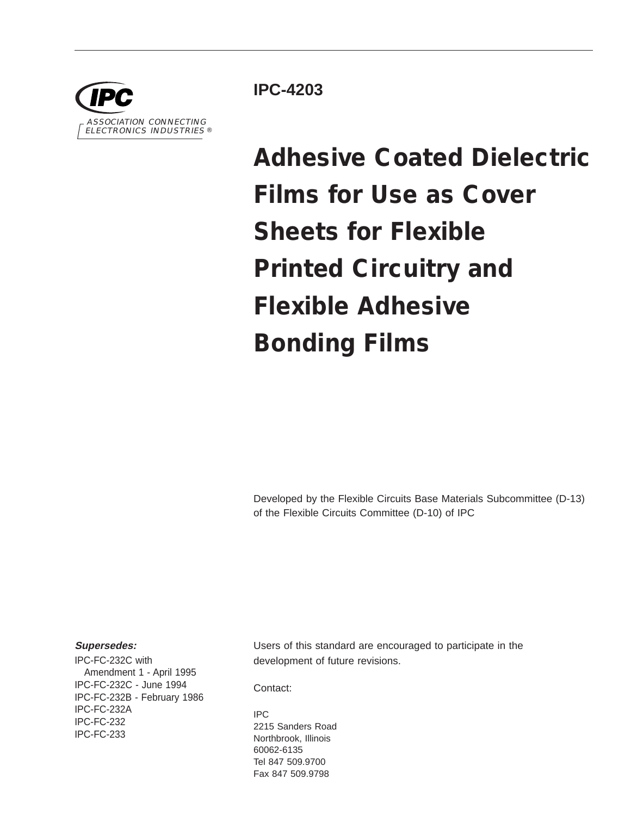

**IPC-4203**

# **Adhesive Coated Dielectric Films for Use as Cover Sheets for Flexible Printed Circuitry and Flexible Adhesive Bonding Films**

Developed by the Flexible Circuits Base Materials Subcommittee (D-13) of the Flexible Circuits Committee (D-10) of IPC

#### **Supersedes:**

IPC-FC-232C with Amendment 1 - April 1995 IPC-FC-232C - June 1994 IPC-FC-232B - February 1986 IPC-FC-232A IPC-FC-232 IPC-FC-233

Users of this standard are encouraged to participate in the development of future revisions.

Contact:

IPC 2215 Sanders Road Northbrook, Illinois 60062-6135 Tel 847 509.9700 Fax 847 509.9798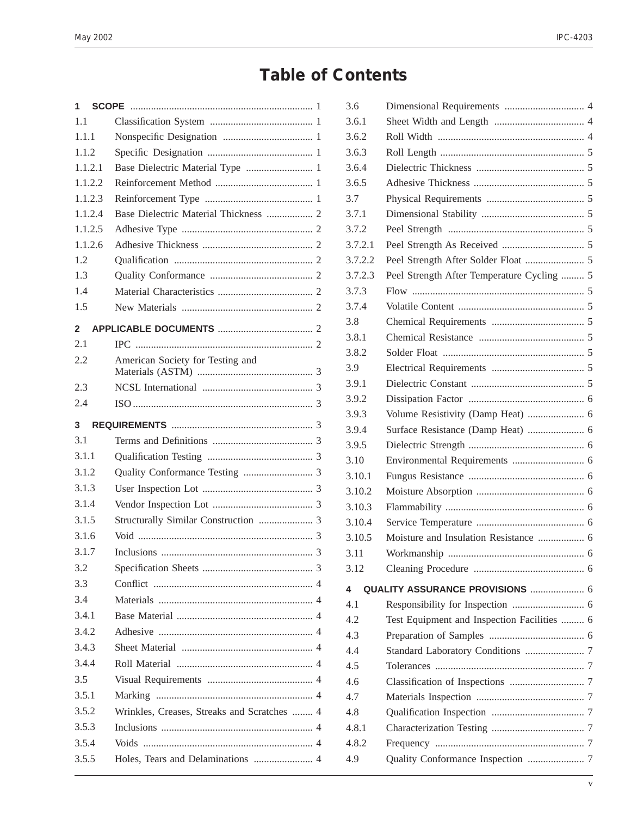## **Table of Contents**

| 1            |                                             |  |
|--------------|---------------------------------------------|--|
| 1.1          |                                             |  |
| 1.1.1        |                                             |  |
| 1.1.2        |                                             |  |
| 1.1.2.1      | Base Dielectric Material Type  1            |  |
| 1.1.2.2      |                                             |  |
| 1.1.2.3      |                                             |  |
| 1.1.2.4      | Base Dielectric Material Thickness  2       |  |
| 1.1.2.5      |                                             |  |
| 1.1.2.6      |                                             |  |
| 1.2          |                                             |  |
| 1.3          |                                             |  |
| 1.4          |                                             |  |
| 1.5          |                                             |  |
| $\mathbf{2}$ |                                             |  |
| 2.1          |                                             |  |
| 2.2          | American Society for Testing and            |  |
| 2.3          |                                             |  |
| 2.4          |                                             |  |
| 3            |                                             |  |
| 3.1          |                                             |  |
| 3.1.1        |                                             |  |
| 3.1.2        |                                             |  |
| 3.1.3        |                                             |  |
| 3.1.4        |                                             |  |
| 3.1.5        |                                             |  |
| 3.1.6        |                                             |  |
| 3.1.7        |                                             |  |
| 3.2          |                                             |  |
| 3.3          |                                             |  |
| 3.4          |                                             |  |
| 3.4.1        |                                             |  |
| 3.4.2        |                                             |  |
| 3.4.3        |                                             |  |
| 3.4.4        |                                             |  |
| 3.5          |                                             |  |
| 3.5.1        |                                             |  |
| 3.5.2        | Wrinkles, Creases, Streaks and Scratches  4 |  |
| 3.5.3        |                                             |  |
| 3.5.4        |                                             |  |
|              |                                             |  |
| 3.5.5        | Holes, Tears and Delaminations  4           |  |

| 3.6     |                                             |  |
|---------|---------------------------------------------|--|
| 3.6.1   |                                             |  |
| 3.6.2   |                                             |  |
| 3.6.3   |                                             |  |
| 3.6.4   |                                             |  |
| 3.6.5   |                                             |  |
| 3.7     |                                             |  |
| 3.7.1   |                                             |  |
| 3.7.2   |                                             |  |
| 3.7.2.1 |                                             |  |
| 3.7.2.2 |                                             |  |
| 3.7.2.3 | Peel Strength After Temperature Cycling  5  |  |
| 3.7.3   |                                             |  |
| 3.7.4   |                                             |  |
| 3.8     |                                             |  |
| 3.8.1   |                                             |  |
| 3.8.2   |                                             |  |
| 3.9     |                                             |  |
| 3.9.1   |                                             |  |
| 3.9.2   |                                             |  |
| 3.9.3   | Volume Resistivity (Damp Heat)  6           |  |
| 3.9.4   | Surface Resistance (Damp Heat)  6           |  |
| 3.9.5   |                                             |  |
| 3.10    |                                             |  |
| 3.10.1  |                                             |  |
| 3.10.2  |                                             |  |
| 3.10.3  |                                             |  |
| 3.10.4  |                                             |  |
| 3.10.5  | Moisture and Insulation Resistance  6       |  |
| 3.11    |                                             |  |
| 3.12    |                                             |  |
| 4       | QUALITY ASSURANCE PROVISIONS  6             |  |
| 4.1     |                                             |  |
| 4.2     | Test Equipment and Inspection Facilities  6 |  |
| 4.3     |                                             |  |
| 4.4     |                                             |  |
| 4.5     |                                             |  |
| 4.6     |                                             |  |
| 4.7     |                                             |  |
| 4.8     |                                             |  |
| 4.8.1   |                                             |  |
| 4.8.2   |                                             |  |
| 4.9     |                                             |  |
|         |                                             |  |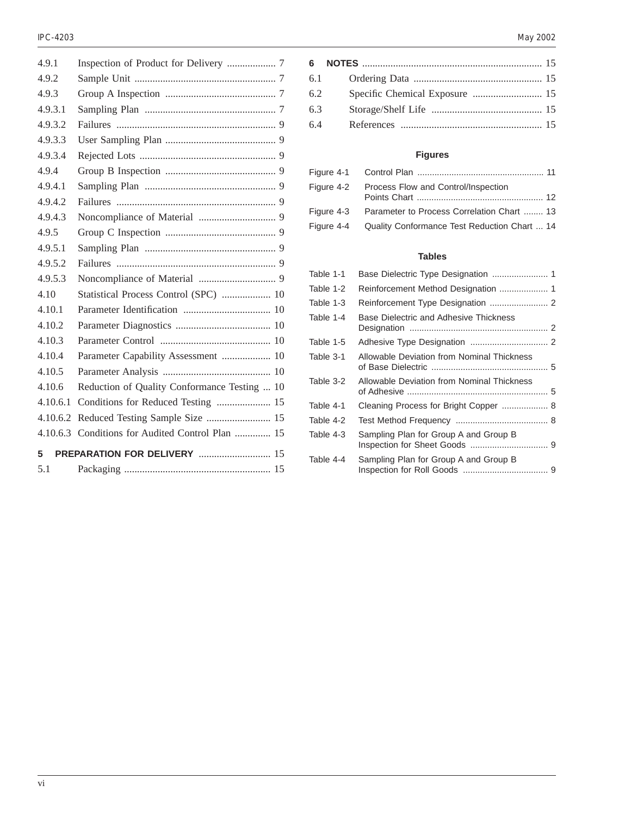| 4.9.1    |                                              |
|----------|----------------------------------------------|
| 4.9.2    |                                              |
| 4.9.3    |                                              |
| 4.9.3.1  |                                              |
| 4.9.3.2  |                                              |
| 4.9.3.3  |                                              |
| 4.9.3.4  |                                              |
| 4.9.4    |                                              |
| 4.9.4.1  |                                              |
| 4.9.4.2  |                                              |
| 4.9.4.3  |                                              |
| 4.9.5    |                                              |
| 4.9.5.1  |                                              |
| 4.9.5.2  |                                              |
| 4.9.5.3  |                                              |
| 4.10     | Statistical Process Control (SPC)  10        |
| 4.10.1   |                                              |
| 4.10.2   |                                              |
| 4.10.3   |                                              |
| 4.10.4   | Parameter Capability Assessment  10          |
| 4.10.5   |                                              |
| 4.10.6   | Reduction of Quality Conformance Testing  10 |
| 4.10.6.1 |                                              |
| 4.10.6.2 | Reduced Testing Sample Size  15              |
| 4.10.6.3 | Conditions for Audited Control Plan  15      |
| 5        | <b>PREPARATION FOR DELIVERY  15</b>          |
| 5.1      |                                              |

|     | 6.1 |  |
|-----|-----|--|
| 6.2 |     |  |
| 6.3 |     |  |
| 6.4 |     |  |
|     |     |  |

#### **Figures**

| Figure 4-2 Process Flow and Control/Inspection          |  |
|---------------------------------------------------------|--|
|                                                         |  |
| Figure 4-3 Parameter to Process Correlation Chart  13   |  |
| Figure 4-4 Quality Conformance Test Reduction Chart  14 |  |

#### **Tables**

| Table 1-1 |                                            |  |
|-----------|--------------------------------------------|--|
| Table 1-2 |                                            |  |
| Table 1-3 |                                            |  |
| Table 1-4 | Base Dielectric and Adhesive Thickness     |  |
| Table 1-5 |                                            |  |
| Table 3-1 | Allowable Deviation from Nominal Thickness |  |
| Table 3-2 | Allowable Deviation from Nominal Thickness |  |
| Table 4-1 | Cleaning Process for Bright Copper  8      |  |
| Table 4-2 |                                            |  |
| Table 4-3 | Sampling Plan for Group A and Group B      |  |
| Table 4-4 | Sampling Plan for Group A and Group B      |  |